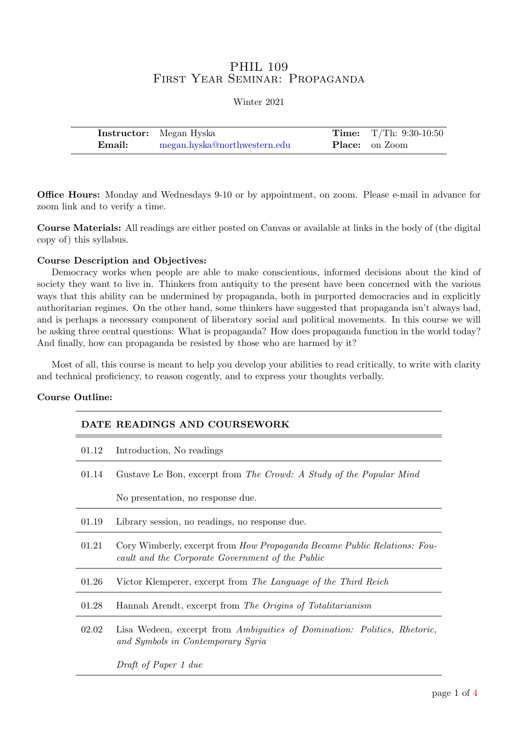# PHIL 109 First Year Seminar: Propaganda

|        | <b>Instructor:</b> Megan Hyska | <b>Time:</b> $T/Th: 9:30-10:50$ |
|--------|--------------------------------|---------------------------------|
| Email: | megan.hyska@northwestern.edu   | <b>Place:</b> on Zoom           |

Office Hours: Monday and Wednesdays 9-10 or by appointment, on zoom. Please e-mail in advance for zoom link and to verify a time.

Course Materials: All readings are either posted on Canvas or available at links in the body of (the digital copy of) this syllabus.

### Course Description and Objectives:

Democracy works when people are able to make conscientious, informed decisions about the kind of society they want to live in. Thinkers from antiquity to the present have been concerned with the various ways that this ability can be undermined by propaganda, both in purported democracies and in explicitly authoritarian regimes. On the other hand, some thinkers have suggested that propaganda isn't always bad, and is perhaps a necessary component of liberatory social and political movements. In this course we will be asking three central questions: What is propaganda? How does propaganda function in the world today? And finally, how can propaganda be resisted by those who are harmed by it?

Most of all, this course is meant to help you develop your abilities to read critically, to write with clarity and technical proficiency, to reason cogently, and to express your thoughts verbally.

### Course Outline:

| DATE READINGS AND COURSEWORK |                                                                                                                                     |  |
|------------------------------|-------------------------------------------------------------------------------------------------------------------------------------|--|
| 01.12                        | Introduction, No readings                                                                                                           |  |
| 01.14                        | Gustave Le Bon, excerpt from The Crowd: A Study of the Popular Mind                                                                 |  |
|                              | No presentation, no response due.                                                                                                   |  |
| 01.19                        | Library session, no readings, no response due.                                                                                      |  |
| 01.21                        | Cory Wimberly, excerpt from <i>How Propaganda Became Public Relations: Fou-</i><br>cault and the Corporate Government of the Public |  |
| 01.26                        | Victor Klemperer, excerpt from The Language of the Third Reich                                                                      |  |
| 01.28                        | Hannah Arendt, excerpt from The Origins of Totalitarianism                                                                          |  |
| 02.02                        | Lisa Wedeen, excerpt from Ambiguities of Domination: Politics, Rhetoric,<br>and Symbols in Contemporary Syria                       |  |
|                              | Draft of Paper 1 due                                                                                                                |  |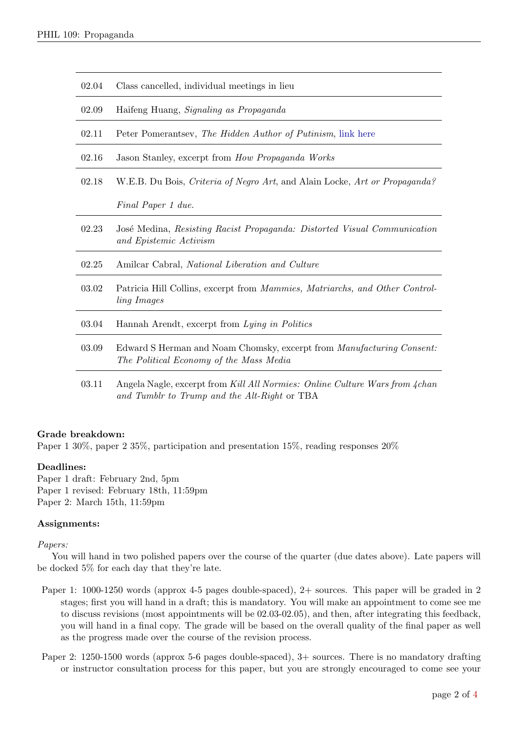| 02.04 | Class cancelled, individual meetings in lieu                                                                                |
|-------|-----------------------------------------------------------------------------------------------------------------------------|
| 02.09 | Haifeng Huang, Signaling as Propaganda                                                                                      |
| 02.11 | Peter Pomerantsev, The Hidden Author of Putinism, link here                                                                 |
| 02.16 | Jason Stanley, excerpt from How Propaganda Works                                                                            |
| 02.18 | W.E.B. Du Bois, Criteria of Negro Art, and Alain Locke, Art or Propaganda?                                                  |
|       | Final Paper 1 due.                                                                                                          |
| 02.23 | José Medina, Resisting Racist Propaganda: Distorted Visual Communication<br>and Epistemic Activism                          |
| 02.25 | Amilcar Cabral, National Liberation and Culture                                                                             |
| 03.02 | Patricia Hill Collins, excerpt from <i>Mammies</i> , <i>Matriarchs</i> , and Other Control-<br><i>ling Images</i>           |
| 03.04 | Hannah Arendt, excerpt from Lying in Politics                                                                               |
| 03.09 | Edward S Herman and Noam Chomsky, excerpt from <i>Manufacturing Consent:</i><br>The Political Economy of the Mass Media     |
| 03.11 | Angela Nagle, excerpt from Kill All Normies: Online Culture Wars from 4chan<br>and Tumblr to Trump and the Alt-Right or TBA |

## Grade breakdown:

Paper 1 30%, paper 2 35%, participation and presentation 15%, reading responses  $20\%$ 

### Deadlines:

Paper 1 draft: February 2nd, 5pm Paper 1 revised: February 18th, 11:59pm Paper 2: March 15th, 11:59pm

### Assignments:

### Papers:

You will hand in two polished papers over the course of the quarter (due dates above). Late papers will be docked 5% for each day that they're late.

- Paper 1: 1000-1250 words (approx 4-5 pages double-spaced), 2+ sources. This paper will be graded in 2 stages; first you will hand in a draft; this is mandatory. You will make an appointment to come see me to discuss revisions (most appointments will be 02.03-02.05), and then, after integrating this feedback, you will hand in a final copy. The grade will be based on the overall quality of the final paper as well as the progress made over the course of the revision process.
- Paper 2: 1250-1500 words (approx 5-6 pages double-spaced), 3+ sources. There is no mandatory drafting or instructor consultation process for this paper, but you are strongly encouraged to come see your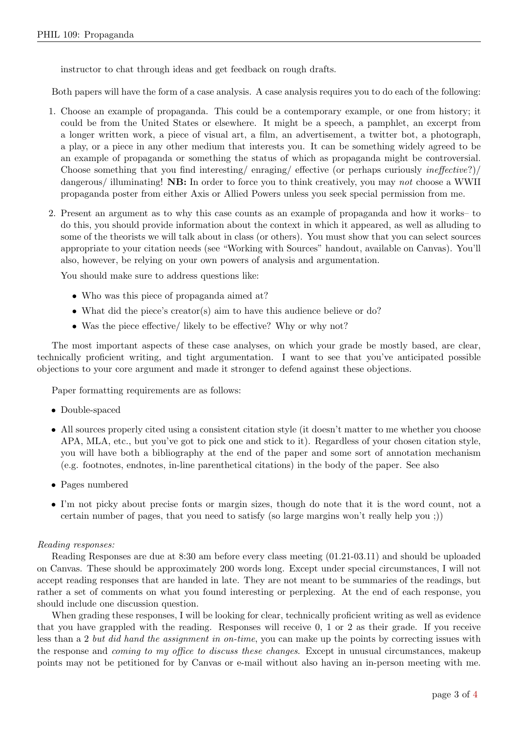instructor to chat through ideas and get feedback on rough drafts.

Both papers will have the form of a case analysis. A case analysis requires you to do each of the following:

- 1. Choose an example of propaganda. This could be a contemporary example, or one from history; it could be from the United States or elsewhere. It might be a speech, a pamphlet, an excerpt from a longer written work, a piece of visual art, a film, an advertisement, a twitter bot, a photograph, a play, or a piece in any other medium that interests you. It can be something widely agreed to be an example of propaganda or something the status of which as propaganda might be controversial. Choose something that you find interesting/ enraging/ effective (or perhaps curiously ineffective?)/ dangerous/ illuminating! **NB:** In order to force you to think creatively, you may not choose a WWII propaganda poster from either Axis or Allied Powers unless you seek special permission from me.
- 2. Present an argument as to why this case counts as an example of propaganda and how it works– to do this, you should provide information about the context in which it appeared, as well as alluding to some of the theorists we will talk about in class (or others). You must show that you can select sources appropriate to your citation needs (see "Working with Sources" handout, available on Canvas). You'll also, however, be relying on your own powers of analysis and argumentation.

You should make sure to address questions like:

- Who was this piece of propaganda aimed at?
- What did the piece's creator(s) aim to have this audience believe or do?
- Was the piece effective/ likely to be effective? Why or why not?

The most important aspects of these case analyses, on which your grade be mostly based, are clear, technically proficient writing, and tight argumentation. I want to see that you've anticipated possible objections to your core argument and made it stronger to defend against these objections.

Paper formatting requirements are as follows:

- Double-spaced
- All sources properly cited using a consistent citation style (it doesn't matter to me whether you choose APA, MLA, etc., but you've got to pick one and stick to it). Regardless of your chosen citation style, you will have both a bibliography at the end of the paper and some sort of annotation mechanism (e.g. footnotes, endnotes, in-line parenthetical citations) in the body of the paper. See also
- Pages numbered
- I'm not picky about precise fonts or margin sizes, though do note that it is the word count, not a certain number of pages, that you need to satisfy (so large margins won't really help you ;))

### Reading responses:

Reading Responses are due at 8:30 am before every class meeting (01.21-03.11) and should be uploaded on Canvas. These should be approximately 200 words long. Except under special circumstances, I will not accept reading responses that are handed in late. They are not meant to be summaries of the readings, but rather a set of comments on what you found interesting or perplexing. At the end of each response, you should include one discussion question.

When grading these responses, I will be looking for clear, technically proficient writing as well as evidence that you have grappled with the reading. Responses will receive 0, 1 or 2 as their grade. If you receive less than a 2 but did hand the assignment in on-time, you can make up the points by correcting issues with the response and coming to my office to discuss these changes. Except in unusual circumstances, makeup points may not be petitioned for by Canvas or e-mail without also having an in-person meeting with me.